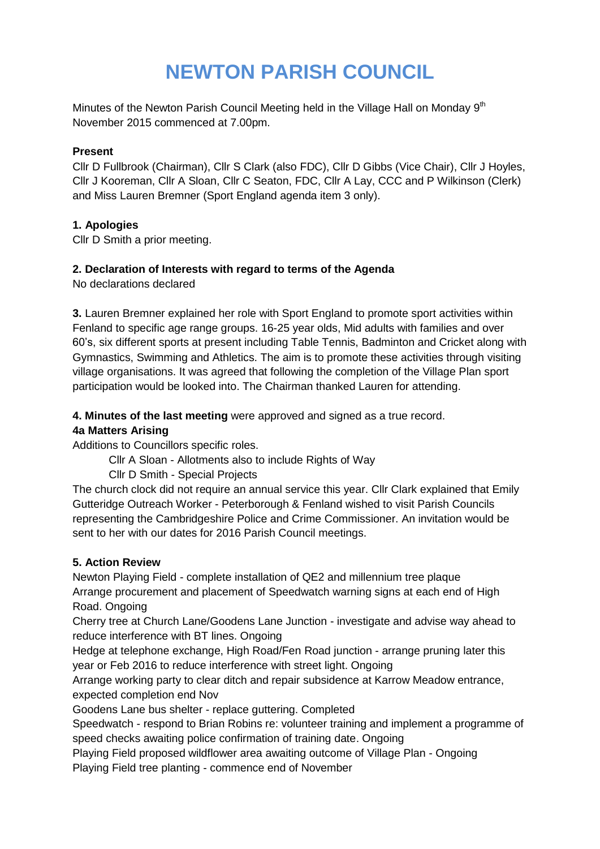# **NEWTON PARISH COUNCIL**

Minutes of the Newton Parish Council Meeting held in the Village Hall on Monday  $9<sup>th</sup>$ November 2015 commenced at 7.00pm.

#### **Present**

Cllr D Fullbrook (Chairman), Cllr S Clark (also FDC), Cllr D Gibbs (Vice Chair), Cllr J Hoyles, Cllr J Kooreman, Cllr A Sloan, Cllr C Seaton, FDC, Cllr A Lay, CCC and P Wilkinson (Clerk) and Miss Lauren Bremner (Sport England agenda item 3 only).

#### **1. Apologies**

Cllr D Smith a prior meeting.

#### **2. Declaration of Interests with regard to terms of the Agenda**

No declarations declared

**3.** Lauren Bremner explained her role with Sport England to promote sport activities within Fenland to specific age range groups. 16-25 year olds, Mid adults with families and over 60's, six different sports at present including Table Tennis, Badminton and Cricket along with Gymnastics, Swimming and Athletics. The aim is to promote these activities through visiting village organisations. It was agreed that following the completion of the Village Plan sport participation would be looked into. The Chairman thanked Lauren for attending.

**4. Minutes of the last meeting** were approved and signed as a true record.

#### **4a Matters Arising**

Additions to Councillors specific roles.

Cllr A Sloan - Allotments also to include Rights of Way

Cllr D Smith - Special Projects

The church clock did not require an annual service this year. Cllr Clark explained that Emily Gutteridge Outreach Worker - Peterborough & Fenland wished to visit Parish Councils representing the Cambridgeshire Police and Crime Commissioner. An invitation would be sent to her with our dates for 2016 Parish Council meetings.

#### **5. Action Review**

Newton Playing Field - complete installation of QE2 and millennium tree plaque Arrange procurement and placement of Speedwatch warning signs at each end of High Road. Ongoing

Cherry tree at Church Lane/Goodens Lane Junction - investigate and advise way ahead to reduce interference with BT lines. Ongoing

Hedge at telephone exchange, High Road/Fen Road junction - arrange pruning later this year or Feb 2016 to reduce interference with street light. Ongoing

Arrange working party to clear ditch and repair subsidence at Karrow Meadow entrance, expected completion end Nov

Goodens Lane bus shelter - replace guttering. Completed

Speedwatch - respond to Brian Robins re: volunteer training and implement a programme of speed checks awaiting police confirmation of training date. Ongoing

Playing Field proposed wildflower area awaiting outcome of Village Plan - Ongoing Playing Field tree planting - commence end of November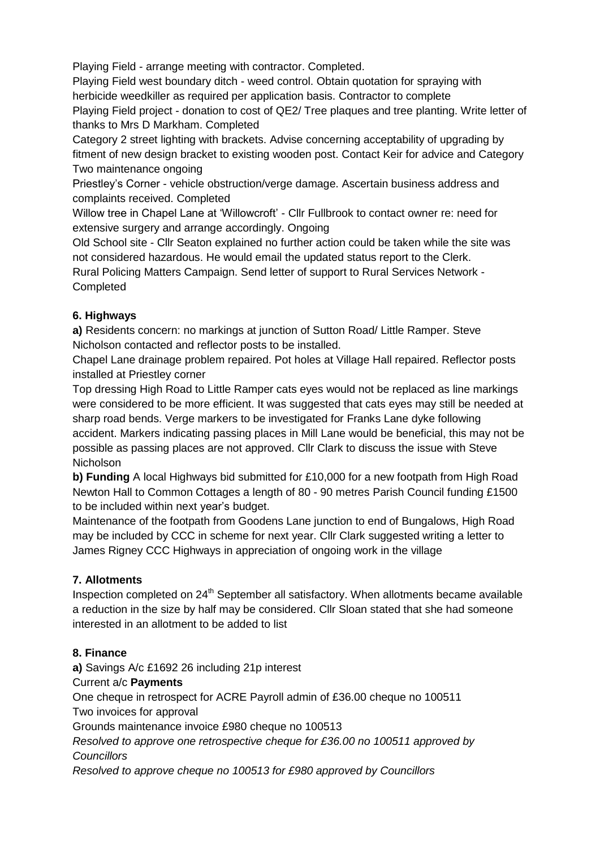Playing Field - arrange meeting with contractor. Completed.

Playing Field west boundary ditch - weed control. Obtain quotation for spraying with herbicide weedkiller as required per application basis. Contractor to complete Playing Field project - donation to cost of QE2/ Tree plaques and tree planting. Write letter of thanks to Mrs D Markham. Completed

Category 2 street lighting with brackets. Advise concerning acceptability of upgrading by fitment of new design bracket to existing wooden post. Contact Keir for advice and Category Two maintenance ongoing

Priestley's Corner - vehicle obstruction/verge damage. Ascertain business address and complaints received. Completed

Willow tree in Chapel Lane at 'Willowcroft' - Cllr Fullbrook to contact owner re: need for extensive surgery and arrange accordingly. Ongoing

Old School site - Cllr Seaton explained no further action could be taken while the site was not considered hazardous. He would email the updated status report to the Clerk.

Rural Policing Matters Campaign. Send letter of support to Rural Services Network - Completed

# **6. Highways**

**a)** Residents concern: no markings at junction of Sutton Road/ Little Ramper. Steve Nicholson contacted and reflector posts to be installed.

Chapel Lane drainage problem repaired. Pot holes at Village Hall repaired. Reflector posts installed at Priestley corner

Top dressing High Road to Little Ramper cats eyes would not be replaced as line markings were considered to be more efficient. It was suggested that cats eyes may still be needed at sharp road bends. Verge markers to be investigated for Franks Lane dyke following accident. Markers indicating passing places in Mill Lane would be beneficial, this may not be possible as passing places are not approved. Cllr Clark to discuss the issue with Steve Nicholson

**b) Funding** A local Highways bid submitted for £10,000 for a new footpath from High Road Newton Hall to Common Cottages a length of 80 - 90 metres Parish Council funding £1500 to be included within next year's budget.

Maintenance of the footpath from Goodens Lane junction to end of Bungalows, High Road may be included by CCC in scheme for next year. Cllr Clark suggested writing a letter to James Rigney CCC Highways in appreciation of ongoing work in the village

## **7. Allotments**

Inspection completed on 24<sup>th</sup> September all satisfactory. When allotments became available a reduction in the size by half may be considered. Cllr Sloan stated that she had someone interested in an allotment to be added to list

## **8. Finance**

**a)** Savings A/c £1692 26 including 21p interest

## Current a/c **Payments**

One cheque in retrospect for ACRE Payroll admin of £36.00 cheque no 100511 Two invoices for approval

Grounds maintenance invoice £980 cheque no 100513

*Resolved to approve one retrospective cheque for £36.00 no 100511 approved by Councillors*

*Resolved to approve cheque no 100513 for £980 approved by Councillors*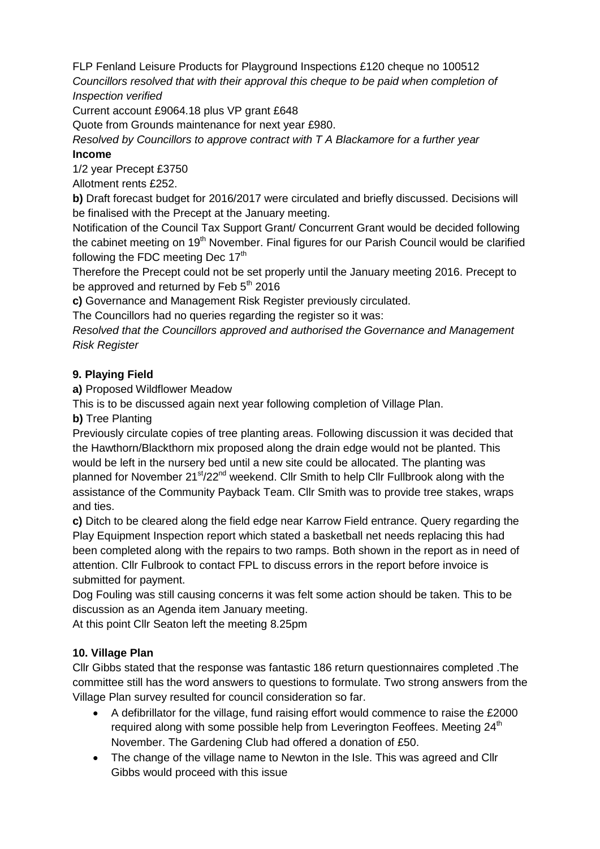FLP Fenland Leisure Products for Playground Inspections £120 cheque no 100512 *Councillors resolved that with their approval this cheque to be paid when completion of Inspection verified*

Current account £9064.18 plus VP grant £648

Quote from Grounds maintenance for next year £980.

*Resolved by Councillors to approve contract with T A Blackamore for a further year* **Income**

1/2 year Precept £3750

Allotment rents £252.

**b)** Draft forecast budget for 2016/2017 were circulated and briefly discussed. Decisions will be finalised with the Precept at the January meeting.

Notification of the Council Tax Support Grant/ Concurrent Grant would be decided following the cabinet meeting on  $19<sup>th</sup>$  November. Final figures for our Parish Council would be clarified following the FDC meeting Dec  $17<sup>th</sup>$ 

Therefore the Precept could not be set properly until the January meeting 2016. Precept to be approved and returned by Feb  $5<sup>th</sup>$  2016

**c)** Governance and Management Risk Register previously circulated.

The Councillors had no queries regarding the register so it was:

*Resolved that the Councillors approved and authorised the Governance and Management Risk Register*

## **9. Playing Field**

**a)** Proposed Wildflower Meadow

This is to be discussed again next year following completion of Village Plan.

**b)** Tree Planting

Previously circulate copies of tree planting areas. Following discussion it was decided that the Hawthorn/Blackthorn mix proposed along the drain edge would not be planted. This would be left in the nursery bed until a new site could be allocated. The planting was planned for November  $21<sup>st</sup>/22<sup>nd</sup>$  weekend. Cllr Smith to help Cllr Fullbrook along with the assistance of the Community Payback Team. Cllr Smith was to provide tree stakes, wraps and ties.

**c)** Ditch to be cleared along the field edge near Karrow Field entrance. Query regarding the Play Equipment Inspection report which stated a basketball net needs replacing this had been completed along with the repairs to two ramps. Both shown in the report as in need of attention. Cllr Fulbrook to contact FPL to discuss errors in the report before invoice is submitted for payment.

Dog Fouling was still causing concerns it was felt some action should be taken. This to be discussion as an Agenda item January meeting.

At this point Cllr Seaton left the meeting 8.25pm

## **10. Village Plan**

Cllr Gibbs stated that the response was fantastic 186 return questionnaires completed .The committee still has the word answers to questions to formulate. Two strong answers from the Village Plan survey resulted for council consideration so far.

- A defibrillator for the village, fund raising effort would commence to raise the £2000 required along with some possible help from Leverington Feoffees. Meeting  $24<sup>th</sup>$ November. The Gardening Club had offered a donation of £50.
- The change of the village name to Newton in the Isle. This was agreed and Cllr Gibbs would proceed with this issue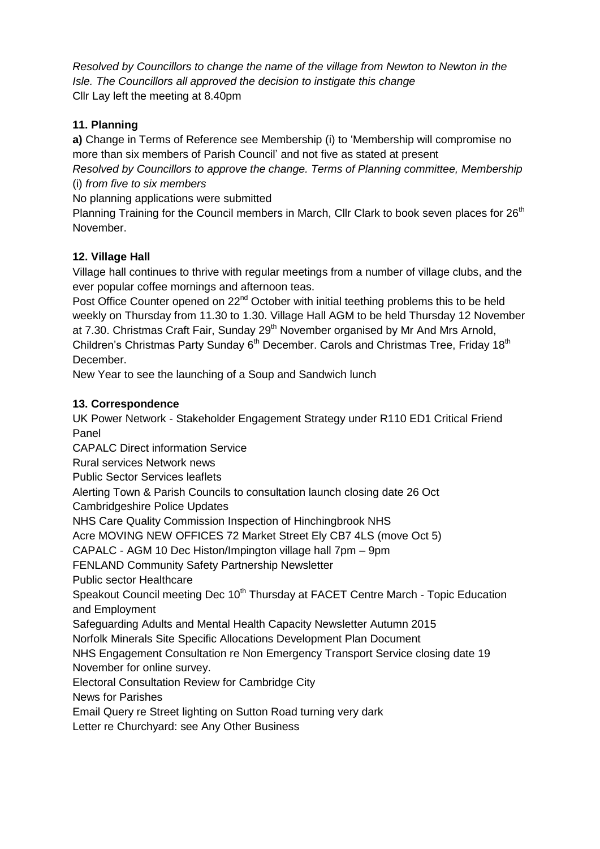*Resolved by Councillors to change the name of the village from Newton to Newton in the Isle. The Councillors all approved the decision to instigate this change*  Cllr Lay left the meeting at 8.40pm

# **11. Planning**

**a)** Change in Terms of Reference see Membership (i) to 'Membership will compromise no more than six members of Parish Council' and not five as stated at present

*Resolved by Councillors to approve the change. Terms of Planning committee, Membership* (i) *from five to six members*

No planning applications were submitted

Planning Training for the Council members in March, Cllr Clark to book seven places for 26<sup>th</sup> November.

# **12. Village Hall**

Village hall continues to thrive with regular meetings from a number of village clubs, and the ever popular coffee mornings and afternoon teas.

Post Office Counter opened on 22<sup>nd</sup> October with initial teething problems this to be held weekly on Thursday from 11.30 to 1.30. Village Hall AGM to be held Thursday 12 November at 7.30. Christmas Craft Fair, Sunday 29<sup>th</sup> November organised by Mr And Mrs Arnold, Children's Christmas Party Sunday 6<sup>th</sup> December. Carols and Christmas Tree, Friday 18<sup>th</sup> December.

New Year to see the launching of a Soup and Sandwich lunch

## **13. Correspondence**

UK Power Network - Stakeholder Engagement Strategy under R110 ED1 Critical Friend Panel

CAPALC Direct information Service Rural services Network news

Public Sector Services leaflets

Alerting Town & Parish Councils to consultation launch closing date 26 Oct

Cambridgeshire Police Updates

NHS Care Quality Commission Inspection of Hinchingbrook NHS

Acre MOVING NEW OFFICES 72 Market Street Ely CB7 4LS (move Oct 5)

CAPALC - AGM 10 Dec Histon/Impington village hall 7pm – 9pm

FENLAND Community Safety Partnership Newsletter

Public sector Healthcare

Speakout Council meeting Dec 10<sup>th</sup> Thursday at FACET Centre March - Topic Education and Employment

Safeguarding Adults and Mental Health Capacity Newsletter Autumn 2015

Norfolk Minerals Site Specific Allocations Development Plan Document

NHS Engagement Consultation re Non Emergency Transport Service closing date 19 November for online survey.

Electoral Consultation Review for Cambridge City

News for Parishes

Email Query re Street lighting on Sutton Road turning very dark

Letter re Churchyard: see Any Other Business